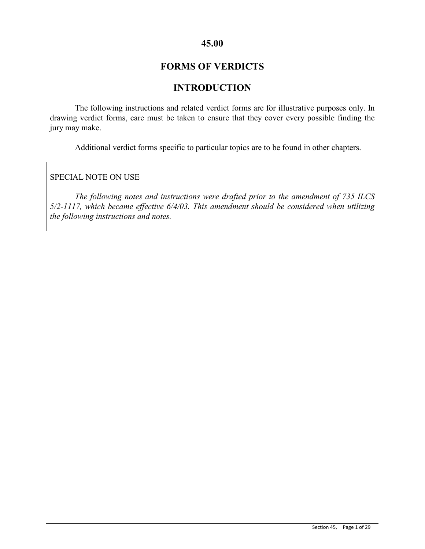## **45.00**

# **FORMS OF VERDICTS**

# **INTRODUCTION**

The following instructions and related verdict forms are for illustrative purposes only. In drawing verdict forms, care must be taken to ensure that they cover every possible finding the jury may make.

Additional verdict forms specific to particular topics are to be found in other chapters.

SPECIAL NOTE ON USE

*The following notes and instructions were drafted prior to the amendment of 735 ILCS 5/2-1117, which became effective 6/4/03. This amendment should be considered when utilizing the following instructions and notes.*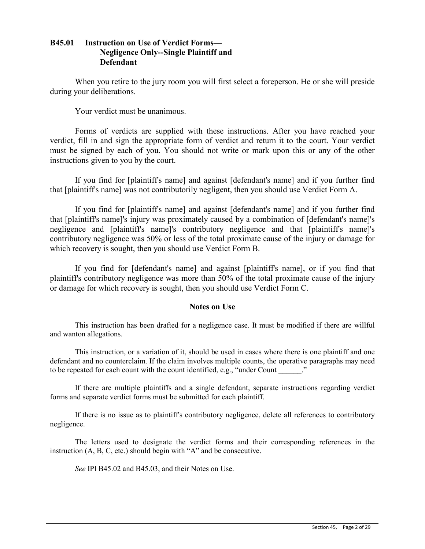## **B45.01 Instruction on Use of Verdict Forms— Negligence Only--Single Plaintiff and Defendant**

When you retire to the jury room you will first select a foreperson. He or she will preside during your deliberations.

Your verdict must be unanimous.

Forms of verdicts are supplied with these instructions. After you have reached your verdict, fill in and sign the appropriate form of verdict and return it to the court. Your verdict must be signed by each of you. You should not write or mark upon this or any of the other instructions given to you by the court.

If you find for [plaintiff's name] and against [defendant's name] and if you further find that [plaintiff's name] was not contributorily negligent, then you should use Verdict Form A.

If you find for [plaintiff's name] and against [defendant's name] and if you further find that [plaintiff's name]'s injury was proximately caused by a combination of [defendant's name]'s negligence and [plaintiff's name]'s contributory negligence and that [plaintiff's name]'s contributory negligence was 50% or less of the total proximate cause of the injury or damage for which recovery is sought, then you should use Verdict Form B.

If you find for [defendant's name] and against [plaintiff's name], or if you find that plaintiff's contributory negligence was more than 50% of the total proximate cause of the injury or damage for which recovery is sought, then you should use Verdict Form C.

## **Notes on Use**

This instruction has been drafted for a negligence case. It must be modified if there are willful and wanton allegations.

This instruction, or a variation of it, should be used in cases where there is one plaintiff and one defendant and no counterclaim. If the claim involves multiple counts, the operative paragraphs may need to be repeated for each count with the count identified, e.g., "under Count ..."

If there are multiple plaintiffs and a single defendant, separate instructions regarding verdict forms and separate verdict forms must be submitted for each plaintiff.

If there is no issue as to plaintiff's contributory negligence, delete all references to contributory negligence.

The letters used to designate the verdict forms and their corresponding references in the instruction (A, B, C, etc.) should begin with "A" and be consecutive.

*See* IPI B45.02 and B45.03, and their Notes on Use.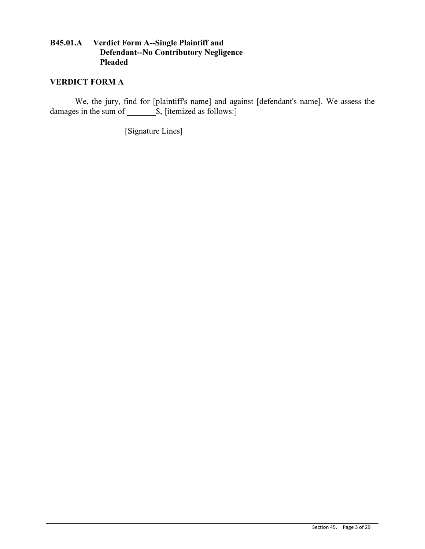## **B45.01.A Verdict Form A--Single Plaintiff and Defendant--No Contributory Negligence Pleaded**

## **VERDICT FORM A**

We, the jury, find for [plaintiff's name] and against [defendant's name]. We assess the damages in the sum of  $\qquad \qquad$  \$, [itemized as follows:]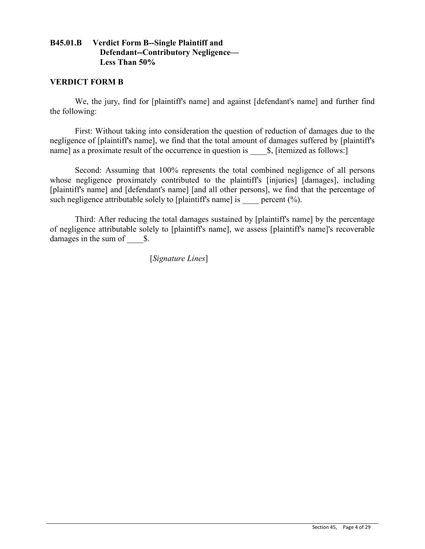## **B45.01.B Verdict Form B--Single Plaintiff and Defendant--Contributory Negligence— Less Than 50%**

#### **VERDICT FORM B**

We, the jury, find for [plaintiff's name] and against [defendant's name] and further find the following:

First: Without taking into consideration the question of reduction of damages due to the negligence of [plaintiff's name], we find that the total amount of damages suffered by [plaintiff's name] as a proximate result of the occurrence in question is  $\$\,$ , [itemized as follows:]

Second: Assuming that 100% represents the total combined negligence of all persons whose negligence proximately contributed to the plaintiff's [injuries] [damages], including [plaintiff's name] and [defendant's name] [and all other persons], we find that the percentage of such negligence attributable solely to [plaintiff's name] is  $\qquad$  percent (%).

Third: After reducing the total damages sustained by [plaintiff's name] by the percentage of negligence attributable solely to [plaintiff's name], we assess [plaintiff's name]'s recoverable damages in the sum of  $\qquad$  \$.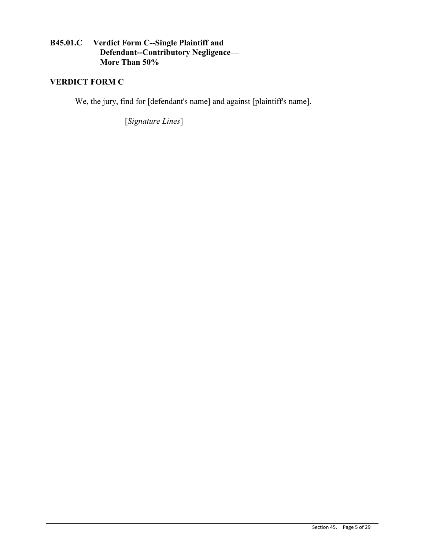## **B45.01.C Verdict Form C--Single Plaintiff and Defendant--Contributory Negligence— More Than 50%**

# **VERDICT FORM C**

We, the jury, find for [defendant's name] and against [plaintiff's name].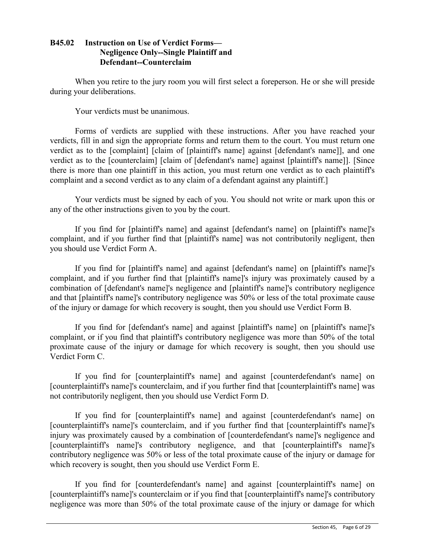## **B45.02 Instruction on Use of Verdict Forms— Negligence Only--Single Plaintiff and Defendant--Counterclaim**

When you retire to the jury room you will first select a foreperson. He or she will preside during your deliberations.

Your verdicts must be unanimous.

Forms of verdicts are supplied with these instructions. After you have reached your verdicts, fill in and sign the appropriate forms and return them to the court. You must return one verdict as to the [complaint] [claim of [plaintiff's name] against [defendant's name]], and one verdict as to the [counterclaim] [claim of [defendant's name] against [plaintiff's name]]. [Since there is more than one plaintiff in this action, you must return one verdict as to each plaintiff's complaint and a second verdict as to any claim of a defendant against any plaintiff.]

Your verdicts must be signed by each of you. You should not write or mark upon this or any of the other instructions given to you by the court.

If you find for [plaintiff's name] and against [defendant's name] on [plaintiff's name]'s complaint, and if you further find that [plaintiff's name] was not contributorily negligent, then you should use Verdict Form A.

If you find for [plaintiff's name] and against [defendant's name] on [plaintiff's name]'s complaint, and if you further find that [plaintiff's name]'s injury was proximately caused by a combination of [defendant's name]'s negligence and [plaintiff's name]'s contributory negligence and that [plaintiff's name]'s contributory negligence was 50% or less of the total proximate cause of the injury or damage for which recovery is sought, then you should use Verdict Form B.

If you find for [defendant's name] and against [plaintiff's name] on [plaintiff's name]'s complaint, or if you find that plaintiff's contributory negligence was more than 50% of the total proximate cause of the injury or damage for which recovery is sought, then you should use Verdict Form C.

If you find for [counterplaintiff's name] and against [counterdefendant's name] on [counterplaintiff's name]'s counterclaim, and if you further find that [counterplaintiff's name] was not contributorily negligent, then you should use Verdict Form D.

If you find for [counterplaintiff's name] and against [counterdefendant's name] on [counterplaintiff's name]'s counterclaim, and if you further find that [counterplaintiff's name]'s injury was proximately caused by a combination of [counterdefendant's name]'s negligence and [counterplaintiff's name]'s contributory negligence, and that [counterplaintiff's name]'s contributory negligence was 50% or less of the total proximate cause of the injury or damage for which recovery is sought, then you should use Verdict Form E.

If you find for [counterdefendant's name] and against [counterplaintiff's name] on [counterplaintiff's name]'s counterclaim or if you find that [counterplaintiff's name]'s contributory negligence was more than 50% of the total proximate cause of the injury or damage for which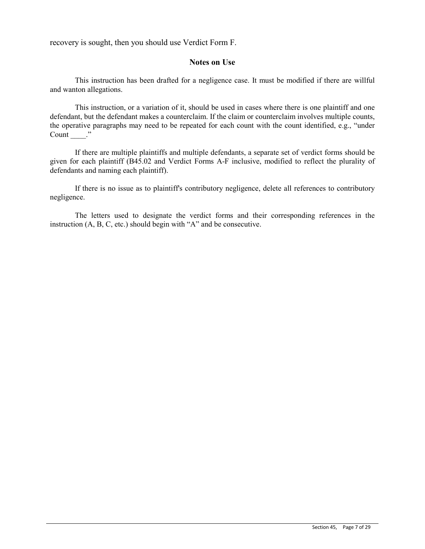recovery is sought, then you should use Verdict Form F.

#### **Notes on Use**

This instruction has been drafted for a negligence case. It must be modified if there are willful and wanton allegations.

This instruction, or a variation of it, should be used in cases where there is one plaintiff and one defendant, but the defendant makes a counterclaim. If the claim or counterclaim involves multiple counts, the operative paragraphs may need to be repeated for each count with the count identified, e.g., "under Count ."

If there are multiple plaintiffs and multiple defendants, a separate set of verdict forms should be given for each plaintiff (B45.02 and Verdict Forms A-F inclusive, modified to reflect the plurality of defendants and naming each plaintiff).

If there is no issue as to plaintiff's contributory negligence, delete all references to contributory negligence.

The letters used to designate the verdict forms and their corresponding references in the instruction (A, B, C, etc.) should begin with "A" and be consecutive.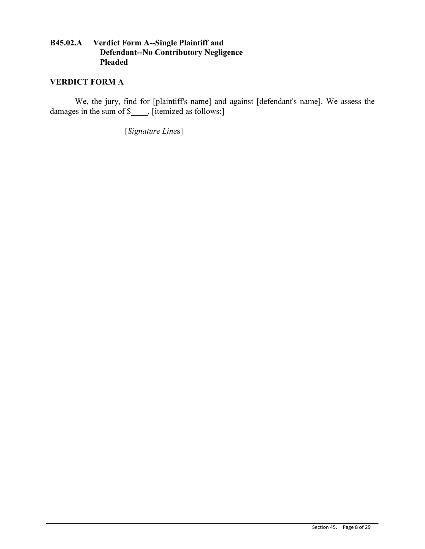## **B45.02.A Verdict Form A--Single Plaintiff and Defendant--No Contributory Negligence Pleaded**

## **VERDICT FORM A**

We, the jury, find for [plaintiff's name] and against [defendant's name]. We assess the damages in the sum of \$\_\_\_, [itemized as follows:]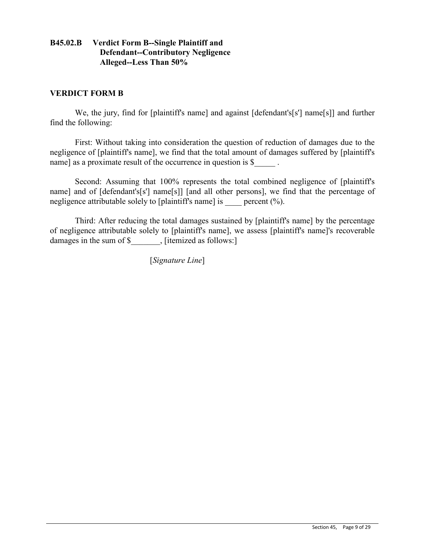## **B45.02.B Verdict Form B--Single Plaintiff and Defendant--Contributory Negligence Alleged--Less Than 50%**

### **VERDICT FORM B**

We, the jury, find for [plaintiff's name] and against [defendant's[s'] name[s]] and further find the following:

First: Without taking into consideration the question of reduction of damages due to the negligence of [plaintiff's name], we find that the total amount of damages suffered by [plaintiff's name] as a proximate result of the occurrence in question is \$

Second: Assuming that 100% represents the total combined negligence of [plaintiff's name] and of [defendant's[s'] name[s]] [and all other persons], we find that the percentage of negligence attributable solely to [plaintiff's name] is percent  $(\% )$ .

Third: After reducing the total damages sustained by [plaintiff's name] by the percentage of negligence attributable solely to [plaintiff's name], we assess [plaintiff's name]'s recoverable damages in the sum of \$ . [itemized as follows:]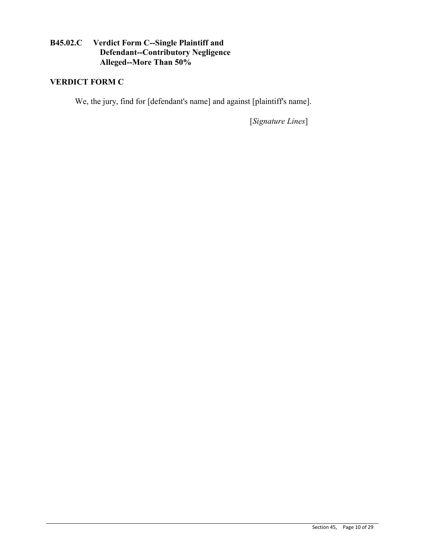# **B45.02.C Verdict Form C--Single Plaintiff and Defendant--Contributory Negligence Alleged--More Than 50%**

# **VERDICT FORM C**

We, the jury, find for [defendant's name] and against [plaintiff's name].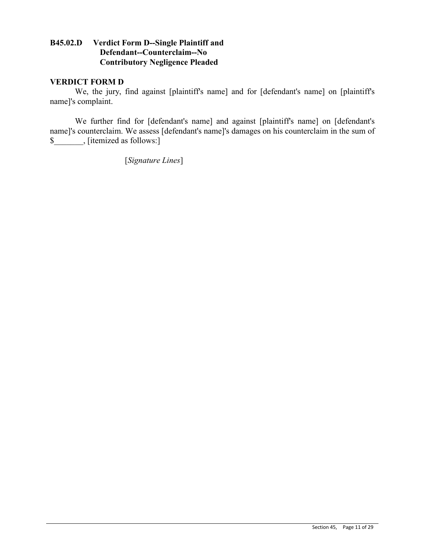### **B45.02.D Verdict Form D--Single Plaintiff and Defendant--Counterclaim--No Contributory Negligence Pleaded**

### **VERDICT FORM D**

We, the jury, find against [plaintiff's name] and for [defendant's name] on [plaintiff's name]'s complaint.

We further find for [defendant's name] and against [plaintiff's name] on [defendant's name]'s counterclaim. We assess [defendant's name]'s damages on his counterclaim in the sum of \$\_\_\_\_\_\_\_, [itemized as follows:]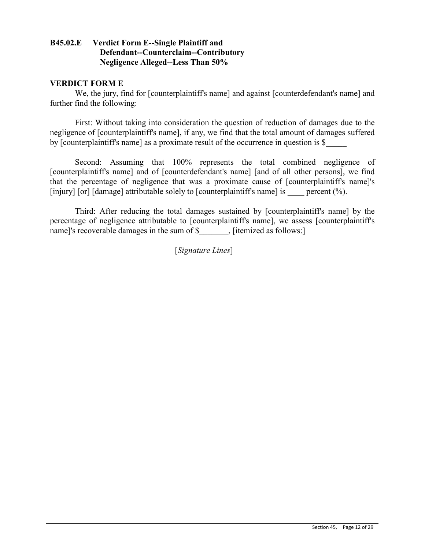## **B45.02.E Verdict Form E--Single Plaintiff and Defendant--Counterclaim--Contributory Negligence Alleged--Less Than 50%**

#### **VERDICT FORM E**

We, the jury, find for [counterplaintiff's name] and against [counterdefendant's name] and further find the following:

First: Without taking into consideration the question of reduction of damages due to the negligence of [counterplaintiff's name], if any, we find that the total amount of damages suffered by [counterplaintiff's name] as a proximate result of the occurrence in question is \$\_\_\_\_\_

Second: Assuming that 100% represents the total combined negligence of [counterplaintiff's name] and of [counterdefendant's name] [and of all other persons], we find that the percentage of negligence that was a proximate cause of [counterplaintiff's name]'s [injury] [or] [damage] attributable solely to [counterplaintiff's name] is percent  $(\% )$ .

Third: After reducing the total damages sustained by [counterplaintiff's name] by the percentage of negligence attributable to [counterplaintiff's name], we assess [counterplaintiff's name]'s recoverable damages in the sum of \$ , [itemized as follows:]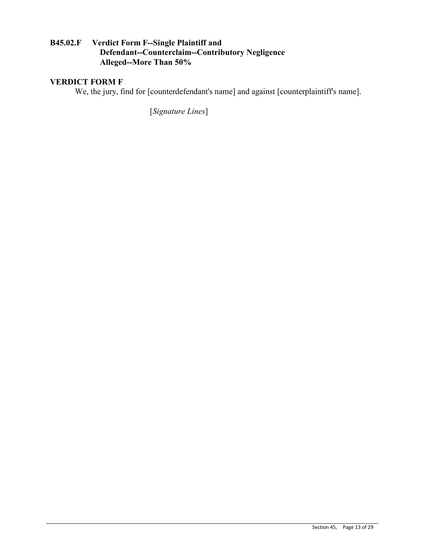# **B45.02.F Verdict Form F--Single Plaintiff and Defendant--Counterclaim--Contributory Negligence Alleged--More Than 50%**

# **VERDICT FORM F**

We, the jury, find for [counterdefendant's name] and against [counterplaintiff's name].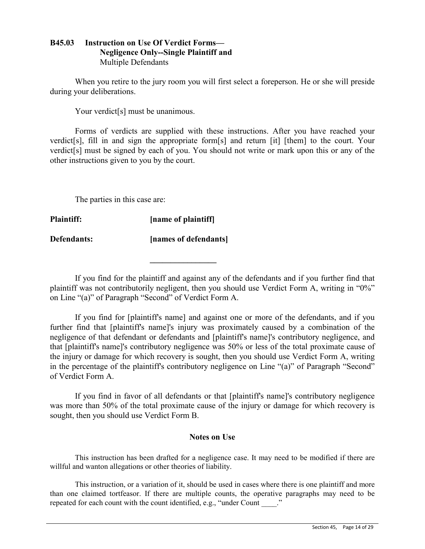## **B45.03 Instruction on Use Of Verdict Forms— Negligence Only--Single Plaintiff and**  Multiple Defendants

When you retire to the jury room you will first select a foreperson. He or she will preside during your deliberations.

Your verdict<sup>[s]</sup> must be unanimous.

Forms of verdicts are supplied with these instructions. After you have reached your verdict[s], fill in and sign the appropriate form[s] and return [it] [them] to the court. Your verdict[s] must be signed by each of you. You should not write or mark upon this or any of the other instructions given to you by the court.

The parties in this case are:

**Plaintiff: [name of plaintiff]**

**Defendants: [names of defendants]** 

**\_\_\_\_\_\_\_\_\_\_\_\_\_\_\_\_**

If you find for the plaintiff and against any of the defendants and if you further find that plaintiff was not contributorily negligent, then you should use Verdict Form A, writing in "0%" on Line "(a)" of Paragraph "Second" of Verdict Form A.

If you find for [plaintiff's name] and against one or more of the defendants, and if you further find that [plaintiff's name]'s injury was proximately caused by a combination of the negligence of that defendant or defendants and [plaintiff's name]'s contributory negligence, and that [plaintiff's name]'s contributory negligence was 50% or less of the total proximate cause of the injury or damage for which recovery is sought, then you should use Verdict Form A, writing in the percentage of the plaintiff's contributory negligence on Line "(a)" of Paragraph "Second" of Verdict Form A.

If you find in favor of all defendants or that [plaintiff's name]'s contributory negligence was more than 50% of the total proximate cause of the injury or damage for which recovery is sought, then you should use Verdict Form B.

## **Notes on Use**

This instruction has been drafted for a negligence case. It may need to be modified if there are willful and wanton allegations or other theories of liability.

This instruction, or a variation of it, should be used in cases where there is one plaintiff and more than one claimed tortfeasor. If there are multiple counts, the operative paragraphs may need to be repeated for each count with the count identified, e.g., "under Count ..."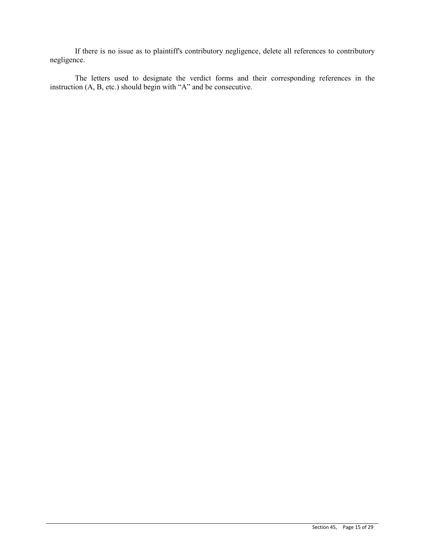If there is no issue as to plaintiff's contributory negligence, delete all references to contributory negligence.

The letters used to designate the verdict forms and their corresponding references in the instruction (A, B, etc.) should begin with "A" and be consecutive.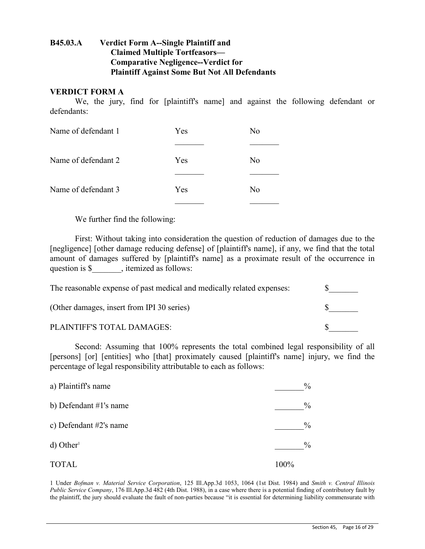## **B45.03.A Verdict Form A--Single Plaintiff and Claimed Multiple Tortfeasors— Comparative Negligence--Verdict for Plaintiff Against Some But Not All Defendants**

#### **VERDICT FORM A**

We, the jury, find for [plaintiff's name] and against the following defendant or defendants:

| Name of defendant 1 | Yes | No             |
|---------------------|-----|----------------|
|                     |     |                |
| Name of defendant 2 | Yes | N <sub>0</sub> |
|                     |     |                |
| Name of defendant 3 | Yes | N <sub>0</sub> |
|                     |     |                |

We further find the following:

First: Without taking into consideration the question of reduction of damages due to the [negligence] [other damage reducing defense] of [plaintiff's name], if any, we find that the total amount of damages suffered by [plaintiff's name] as a proximate result of the occurrence in question is \$ \_\_\_\_\_, itemized as follows:

| The reasonable expense of past medical and medically related expenses: |  |
|------------------------------------------------------------------------|--|
| (Other damages, insert from IPI 30 series)                             |  |
| PLAINTIFF'S TOTAL DAMAGES:                                             |  |

Second: Assuming that 100% represents the total combined legal responsibility of all [persons] [or] [entities] who [that] proximately caused [plaintiff's name] injury, we find the percentage of legal responsibility attributable to each as follows:

| a) Plaintiff's name      | $\%$ |
|--------------------------|------|
| b) Defendant #1's name   | $\%$ |
| c) Defendant $#2's$ name | $\%$ |
| $d)$ Other <sup>1</sup>  | $\%$ |
| <b>TOTAL</b>             | 100% |

1 Under *Bofman v. Material Service Corporation*, 125 Ill.App.3d 1053, 1064 (1st Dist. 1984) and *Smith v. Central Illinois Public Service Company*, 176 Ill.App.3d 482 (4th Dist. 1988), in a case where there is a potential finding of contributory fault by the plaintiff, the jury should evaluate the fault of non-parties because "it is essential for determining liability commensurate with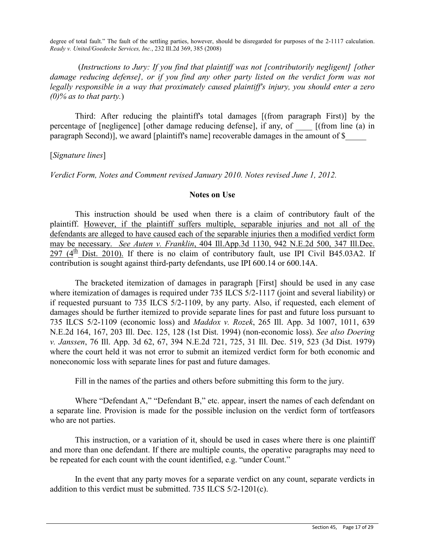degree of total fault." The fault of the settling parties, however, should be disregarded for purposes of the 2-1117 calculation. *Ready v. United/Goedecke Services, Inc.*, 232 Ill.2d 369, 385 (2008)

(*Instructions to Jury: If you find that plaintiff was not [contributorily negligent] [other damage reducing defense], or if you find any other party listed on the verdict form was not legally responsible in a way that proximately caused plaintiff's injury, you should enter a zero (0)% as to that party.*)

Third: After reducing the plaintiff's total damages [(from paragraph First)] by the percentage of [negligence] [other damage reducing defense], if any, of \_\_\_\_ [(from line (a) in paragraph Second)], we award [plaintiff's name] recoverable damages in the amount of \$\_\_\_\_\_

[*Signature lines*]

*Verdict Form, Notes and Comment revised January 2010. Notes revised June 1, 2012.*

#### **Notes on Use**

This instruction should be used when there is a claim of contributory fault of the plaintiff. However, if the plaintiff suffers multiple, separable injuries and not all of the defendants are alleged to have caused each of the separable injuries then a modified verdict form may be necessary. *See Auten v. Franklin*, 404 Ill.App.3d 1130, 942 N.E.2d 500, 347 Ill.Dec.  $297$  (4<sup>th</sup> Dist. 2010). If there is no claim of contributory fault, use IPI Civil B45.03A2. If contribution is sought against third-party defendants, use IPI 600.14 or 600.14A.

The bracketed itemization of damages in paragraph [First] should be used in any case where itemization of damages is required under 735 ILCS 5/2-1117 (joint and several liability) or if requested pursuant to 735 ILCS 5/2-1109, by any party. Also, if requested, each element of damages should be further itemized to provide separate lines for past and future loss pursuant to 735 ILCS 5/2-1109 (economic loss) and *Maddox v. Rozek*, 265 Ill. App. 3d 1007, 1011, 639 N.E.2d 164, 167, 203 Ill. Dec. 125, 128 (1st Dist. 1994) (non-economic loss). *See also Doering v. Janssen*, 76 Ill. App. 3d 62, 67, 394 N.E.2d 721, 725, 31 Ill. Dec. 519, 523 (3d Dist. 1979) where the court held it was not error to submit an itemized verdict form for both economic and noneconomic loss with separate lines for past and future damages.

Fill in the names of the parties and others before submitting this form to the jury.

Where "Defendant A," "Defendant B," etc. appear, insert the names of each defendant on a separate line. Provision is made for the possible inclusion on the verdict form of tortfeasors who are not parties.

This instruction, or a variation of it, should be used in cases where there is one plaintiff and more than one defendant. If there are multiple counts, the operative paragraphs may need to be repeated for each count with the count identified, e.g. "under Count."

In the event that any party moves for a separate verdict on any count, separate verdicts in addition to this verdict must be submitted. 735 ILCS 5/2-1201(c).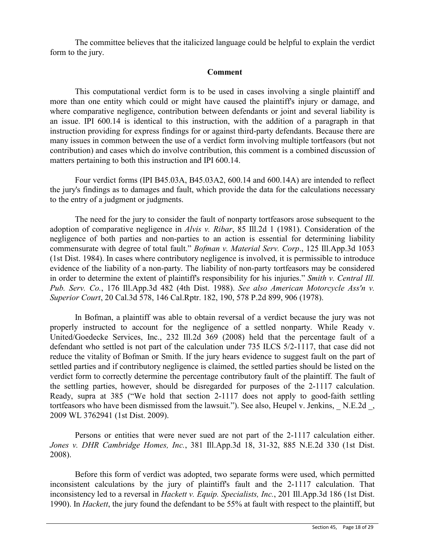The committee believes that the italicized language could be helpful to explain the verdict form to the jury.

#### **Comment**

This computational verdict form is to be used in cases involving a single plaintiff and more than one entity which could or might have caused the plaintiff's injury or damage, and where comparative negligence, contribution between defendants or joint and several liability is an issue. IPI 600.14 is identical to this instruction, with the addition of a paragraph in that instruction providing for express findings for or against third-party defendants. Because there are many issues in common between the use of a verdict form involving multiple tortfeasors (but not contribution) and cases which do involve contribution, this comment is a combined discussion of matters pertaining to both this instruction and IPI 600.14.

Four verdict forms (IPI B45.03A, B45.03A2, 600.14 and 600.14A) are intended to reflect the jury's findings as to damages and fault, which provide the data for the calculations necessary to the entry of a judgment or judgments.

The need for the jury to consider the fault of nonparty tortfeasors arose subsequent to the adoption of comparative negligence in *Alvis v. Ribar*, 85 Ill.2d 1 (1981). Consideration of the negligence of both parties and non-parties to an action is essential for determining liability commensurate with degree of total fault." *Bofman v. Material Serv. Corp*., 125 Ill.App.3d 1053 (1st Dist. 1984). In cases where contributory negligence is involved, it is permissible to introduce evidence of the liability of a non-party. The liability of non-party tortfeasors may be considered in order to determine the extent of plaintiff's responsibility for his injuries." *Smith v. Central Ill. Pub. Serv. Co.*, 176 Ill.App.3d 482 (4th Dist. 1988). *See also American Motorcycle Ass'n v. Superior Court*, 20 Cal.3d 578, 146 Cal.Rptr. 182, 190, 578 P.2d 899, 906 (1978).

In Bofman, a plaintiff was able to obtain reversal of a verdict because the jury was not properly instructed to account for the negligence of a settled nonparty. While Ready v. United/Goedecke Services, Inc., 232 Ill.2d 369 (2008) held that the percentage fault of a defendant who settled is not part of the calculation under 735 ILCS 5/2-1117, that case did not reduce the vitality of Bofman or Smith. If the jury hears evidence to suggest fault on the part of settled parties and if contributory negligence is claimed, the settled parties should be listed on the verdict form to correctly determine the percentage contributory fault of the plaintiff. The fault of the settling parties, however, should be disregarded for purposes of the 2-1117 calculation. Ready, supra at 385 ("We hold that section 2-1117 does not apply to good-faith settling tortfeasors who have been dismissed from the lawsuit."). See also, Heupel v. Jenkins, N.E.2d, 2009 WL 3762941 (1st Dist. 2009).

Persons or entities that were never sued are not part of the 2-1117 calculation either. *Jones v. DHR Cambridge Homes, Inc.*, 381 Ill.App.3d 18, 31-32, 885 N.E.2d 330 (1st Dist. 2008).

Before this form of verdict was adopted, two separate forms were used, which permitted inconsistent calculations by the jury of plaintiff's fault and the 2-1117 calculation. That inconsistency led to a reversal in *Hackett v. Equip. Specialists, Inc.*, 201 Ill.App.3d 186 (1st Dist. 1990). In *Hackett*, the jury found the defendant to be 55% at fault with respect to the plaintiff, but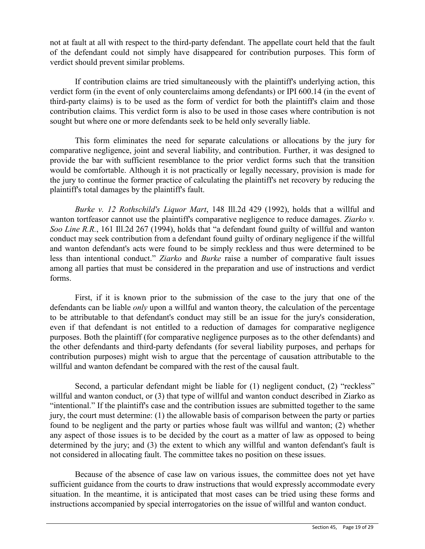not at fault at all with respect to the third-party defendant. The appellate court held that the fault of the defendant could not simply have disappeared for contribution purposes. This form of verdict should prevent similar problems.

If contribution claims are tried simultaneously with the plaintiff's underlying action, this verdict form (in the event of only counterclaims among defendants) or IPI 600.14 (in the event of third-party claims) is to be used as the form of verdict for both the plaintiff's claim and those contribution claims. This verdict form is also to be used in those cases where contribution is not sought but where one or more defendants seek to be held only severally liable.

This form eliminates the need for separate calculations or allocations by the jury for comparative negligence, joint and several liability, and contribution. Further, it was designed to provide the bar with sufficient resemblance to the prior verdict forms such that the transition would be comfortable. Although it is not practically or legally necessary, provision is made for the jury to continue the former practice of calculating the plaintiff's net recovery by reducing the plaintiff's total damages by the plaintiff's fault.

*Burke v. 12 Rothschild's Liquor Mart*, 148 Ill.2d 429 (1992), holds that a willful and wanton tortfeasor cannot use the plaintiff's comparative negligence to reduce damages. *Ziarko v. Soo Line R.R.*, 161 Ill.2d 267 (1994), holds that "a defendant found guilty of willful and wanton conduct may seek contribution from a defendant found guilty of ordinary negligence if the willful and wanton defendant's acts were found to be simply reckless and thus were determined to be less than intentional conduct." *Ziarko* and *Burke* raise a number of comparative fault issues among all parties that must be considered in the preparation and use of instructions and verdict forms.

First, if it is known prior to the submission of the case to the jury that one of the defendants can be liable *only* upon a willful and wanton theory, the calculation of the percentage to be attributable to that defendant's conduct may still be an issue for the jury's consideration, even if that defendant is not entitled to a reduction of damages for comparative negligence purposes. Both the plaintiff (for comparative negligence purposes as to the other defendants) and the other defendants and third-party defendants (for several liability purposes, and perhaps for contribution purposes) might wish to argue that the percentage of causation attributable to the willful and wanton defendant be compared with the rest of the causal fault.

Second, a particular defendant might be liable for (1) negligent conduct, (2) "reckless" willful and wanton conduct, or (3) that type of willful and wanton conduct described in Ziarko as "intentional." If the plaintiff's case and the contribution issues are submitted together to the same jury, the court must determine: (1) the allowable basis of comparison between the party or parties found to be negligent and the party or parties whose fault was willful and wanton; (2) whether any aspect of those issues is to be decided by the court as a matter of law as opposed to being determined by the jury; and (3) the extent to which any willful and wanton defendant's fault is not considered in allocating fault. The committee takes no position on these issues.

Because of the absence of case law on various issues, the committee does not yet have sufficient guidance from the courts to draw instructions that would expressly accommodate every situation. In the meantime, it is anticipated that most cases can be tried using these forms and instructions accompanied by special interrogatories on the issue of willful and wanton conduct.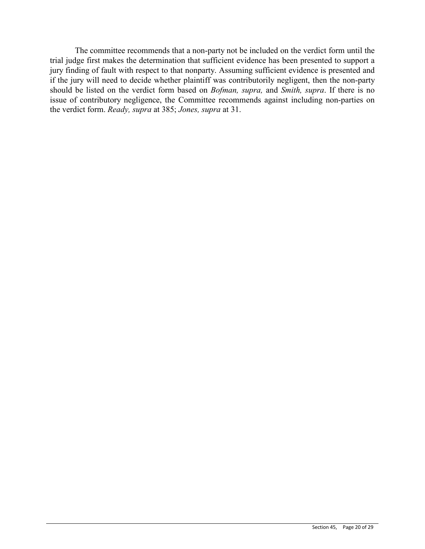The committee recommends that a non-party not be included on the verdict form until the trial judge first makes the determination that sufficient evidence has been presented to support a jury finding of fault with respect to that nonparty. Assuming sufficient evidence is presented and if the jury will need to decide whether plaintiff was contributorily negligent, then the non-party should be listed on the verdict form based on *Bofman, supra,* and *Smith, supra*. If there is no issue of contributory negligence, the Committee recommends against including non-parties on the verdict form. *Ready, supra* at 385; *Jones, supra* at 31.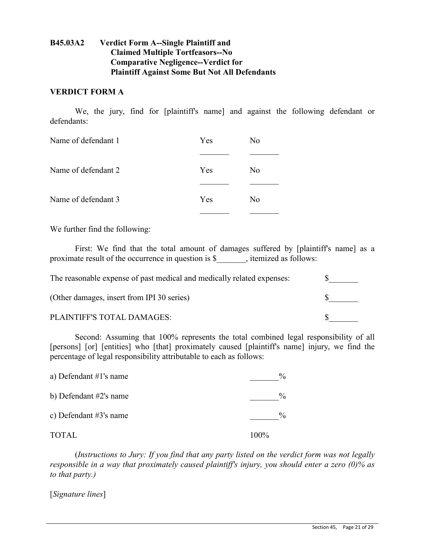## **B45.03A2 Verdict Form A--Single Plaintiff and Claimed Multiple Tortfeasors--No Comparative Negligence--Verdict for Plaintiff Against Some But Not All Defendants**

#### **VERDICT FORM A**

We, the jury, find for [plaintiff's name] and against the following defendant or defendants:

| Name of defendant 1 | Yes | No             |
|---------------------|-----|----------------|
|                     |     |                |
| Name of defendant 2 | Yes | No             |
| Name of defendant 3 | Yes | N <sub>0</sub> |

We further find the following:

First: We find that the total amount of damages suffered by [plaintiff's name] as a proximate result of the occurrence in question is \$  $\,$ , itemized as follows:

| The reasonable expense of past medical and medically related expenses: |  |
|------------------------------------------------------------------------|--|
| (Other damages, insert from IPI 30 series)                             |  |
| PLAINTIFF'S TOTAL DAMAGES:                                             |  |

Second: Assuming that 100% represents the total combined legal responsibility of all [persons] [or] [entities] who [that] proximately caused [plaintiff's name] injury, we find the percentage of legal responsibility attributable to each as follows:

| a) Defendant $#1$ 's name | $\frac{0}{0}$ |
|---------------------------|---------------|
| b) Defendant #2's name    | $\frac{0}{0}$ |
| c) Defendant $#3$ 's name | $\frac{0}{0}$ |
| <b>TOTAL</b>              | 100%          |

(*Instructions to Jury: If you find that any party listed on the verdict form was not legally responsible in a way that proximately caused plaintiff's injury, you should enter a zero (0)% as to that party.)*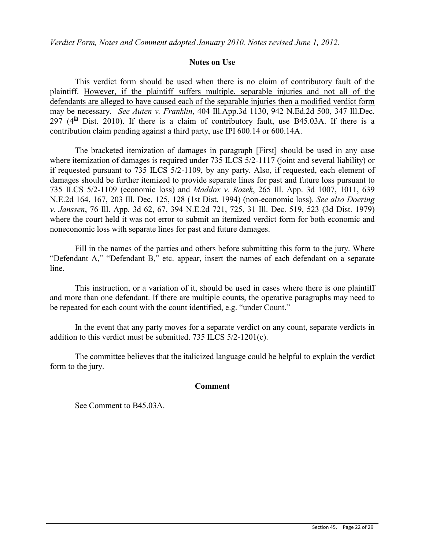*Verdict Form, Notes and Comment adopted January 2010. Notes revised June 1, 2012.*

#### **Notes on Use**

This verdict form should be used when there is no claim of contributory fault of the plaintiff. However, if the plaintiff suffers multiple, separable injuries and not all of the defendants are alleged to have caused each of the separable injuries then a modified verdict form may be necessary. *See Auten v. Franklin*, 404 Ill.App.3d 1130, 942 N.Ed.2d 500, 347 Ill.Dec. 297 ( $4<sup>th</sup>$  Dist. 2010). If there is a claim of contributory fault, use B45.03A. If there is a contribution claim pending against a third party, use IPI 600.14 or 600.14A.

The bracketed itemization of damages in paragraph [First] should be used in any case where itemization of damages is required under 735 ILCS 5/2-1117 (joint and several liability) or if requested pursuant to 735 ILCS 5/2-1109, by any party. Also, if requested, each element of damages should be further itemized to provide separate lines for past and future loss pursuant to 735 ILCS 5/2-1109 (economic loss) and *Maddox v. Rozek*, 265 Ill. App. 3d 1007, 1011, 639 N.E.2d 164, 167, 203 Ill. Dec. 125, 128 (1st Dist. 1994) (non-economic loss). *See also Doering v. Janssen*, 76 Ill. App. 3d 62, 67, 394 N.E.2d 721, 725, 31 Ill. Dec. 519, 523 (3d Dist. 1979) where the court held it was not error to submit an itemized verdict form for both economic and noneconomic loss with separate lines for past and future damages.

Fill in the names of the parties and others before submitting this form to the jury. Where "Defendant A," "Defendant B," etc. appear, insert the names of each defendant on a separate line.

This instruction, or a variation of it, should be used in cases where there is one plaintiff and more than one defendant. If there are multiple counts, the operative paragraphs may need to be repeated for each count with the count identified, e.g. "under Count."

In the event that any party moves for a separate verdict on any count, separate verdicts in addition to this verdict must be submitted. 735 ILCS 5/2-1201(c).

The committee believes that the italicized language could be helpful to explain the verdict form to the jury.

#### **Comment**

See Comment to B45.03A.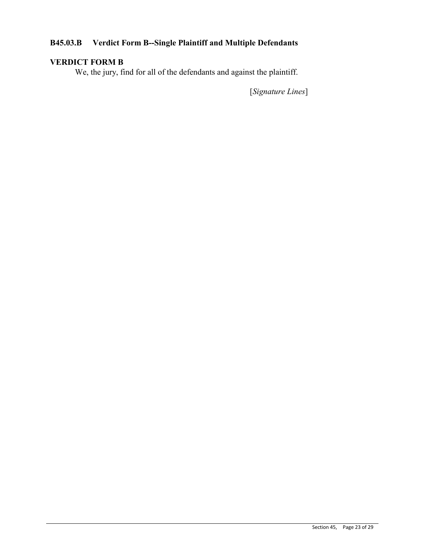# **B45.03.B Verdict Form B--Single Plaintiff and Multiple Defendants**

# **VERDICT FORM B**

We, the jury, find for all of the defendants and against the plaintiff.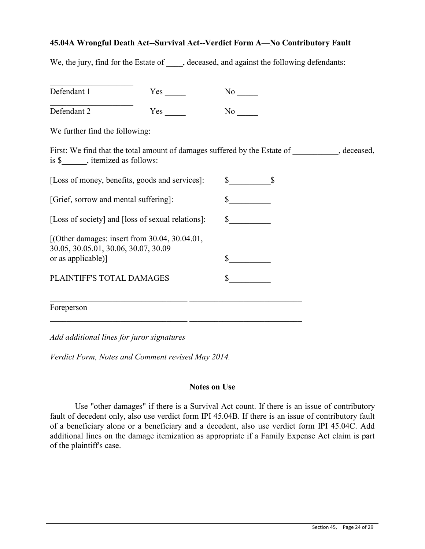#### **45.04A Wrongful Death Act--Survival Act--Verdict Form A—No Contributory Fault**

We, the jury, find for the Estate of , deceased, and against the following defendants:

| Defendant 1                                                                                                       |     |                                                                                                                                                                                                                                   |  |
|-------------------------------------------------------------------------------------------------------------------|-----|-----------------------------------------------------------------------------------------------------------------------------------------------------------------------------------------------------------------------------------|--|
| Defendant 2                                                                                                       | Yes | No new years of the New York of the New York of the New York of the New York of the New York of the New York o<br>New York of the New York of the New York of the New York of the New York of the New York of the New York of the |  |
| We further find the following:                                                                                    |     |                                                                                                                                                                                                                                   |  |
| is \$_______, itemized as follows:                                                                                |     | First: We find that the total amount of damages suffered by the Estate of ___________, deceased,                                                                                                                                  |  |
| [Loss of money, benefits, goods and services]:                                                                    |     | $\mathcal{S}$ $\mathcal{S}$                                                                                                                                                                                                       |  |
| [Grief, sorrow and mental suffering]:                                                                             |     | $\frac{\text{S}}{\text{S}}$                                                                                                                                                                                                       |  |
| [Loss of society] and [loss of sexual relations]:                                                                 |     | $\frac{\text{S}}{\text{S}}$                                                                                                                                                                                                       |  |
| [(Other damages: insert from $30.04$ , $30.04.01$ ,<br>30.05, 30.05.01, 30.06, 30.07, 30.09<br>or as applicable)] |     |                                                                                                                                                                                                                                   |  |
| PLAINTIFF'S TOTAL DAMAGES                                                                                         |     |                                                                                                                                                                                                                                   |  |
| Foreperson                                                                                                        |     |                                                                                                                                                                                                                                   |  |

*Add additional lines for juror signatures*

*Verdict Form, Notes and Comment revised May 2014.*

#### **Notes on Use**

Use "other damages" if there is a Survival Act count. If there is an issue of contributory fault of decedent only, also use verdict form IPI 45.04B. If there is an issue of contributory fault of a beneficiary alone or a beneficiary and a decedent, also use verdict form IPI 45.04C. Add additional lines on the damage itemization as appropriate if a Family Expense Act claim is part of the plaintiff's case.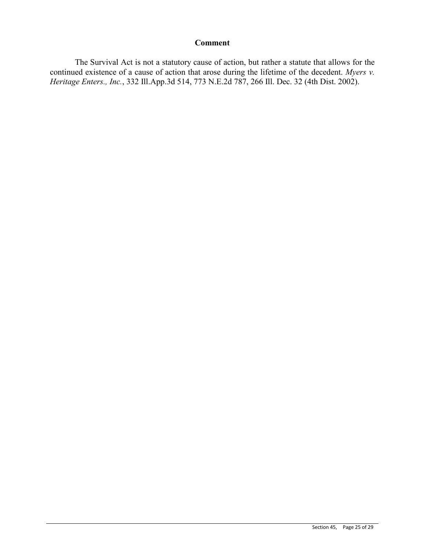#### **Comment**

The Survival Act is not a statutory cause of action, but rather a statute that allows for the continued existence of a cause of action that arose during the lifetime of the decedent. *Myers v. Heritage Enters., Inc.*, 332 Ill.App.3d 514, 773 N.E.2d 787, 266 Ill. Dec. 32 (4th Dist. 2002).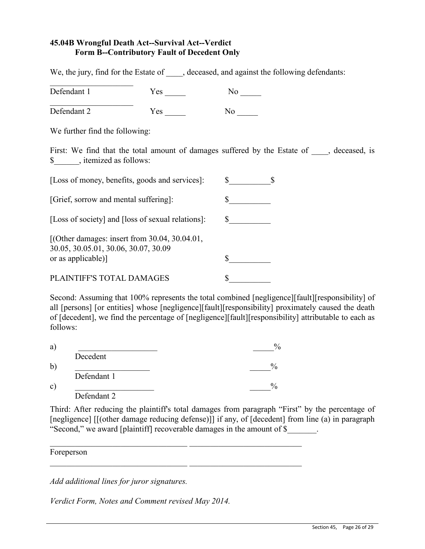## **45.04B Wrongful Death Act--Survival Act--Verdict Form B--Contributory Fault of Decedent Only**

We, the jury, find for the Estate of  $\qquad$ , deceased, and against the following defendants:

| Defendant 1                                                                                                 | $Yes \_$ | No No                     |                                                                                          |
|-------------------------------------------------------------------------------------------------------------|----------|---------------------------|------------------------------------------------------------------------------------------|
| Defendant 2                                                                                                 | Yes      | No results.               |                                                                                          |
| We further find the following:                                                                              |          |                           |                                                                                          |
| \$, itemized as follows:                                                                                    |          |                           | First: We find that the total amount of damages suffered by the Estate of , deceased, is |
| [Loss of money, benefits, goods and services]:                                                              |          | $\mathbb{S}$ $\mathbb{S}$ |                                                                                          |
| [Grief, sorrow and mental suffering]:                                                                       |          |                           |                                                                                          |
| [Loss of society] and [loss of sexual relations]:                                                           |          | \$                        |                                                                                          |
| [(Other damages: insert from 30.04, 30.04.01,<br>30.05, 30.05.01, 30.06, 30.07, 30.09<br>or as applicable)] |          | \$                        |                                                                                          |
| PLAINTIFF'S TOTAL DAMAGES                                                                                   |          |                           |                                                                                          |

Second: Assuming that 100% represents the total combined [negligence][fault][responsibility] of all [persons] [or entities] whose [negligence][fault][responsibility] proximately caused the death of [decedent], we find the percentage of [negligence][fault][responsibility] attributable to each as follows:

| Decedent    |  |
|-------------|--|
|             |  |
| Defendant 1 |  |
|             |  |
| Defendant 2 |  |

 $\_$  , and the set of the set of the set of the set of the set of the set of the set of the set of the set of the set of the set of the set of the set of the set of the set of the set of the set of the set of the set of th

 $\mathcal{L}_\text{max}$ 

Third: After reducing the plaintiff's total damages from paragraph "First" by the percentage of [negligence] [[(other damage reducing defense)]] if any, of [decedent] from line (a) in paragraph "Second," we award [plaintiff] recoverable damages in the amount of \$\_\_\_\_\_\_\_.

Foreperson

*Add additional lines for juror signatures.* 

*Verdict Form, Notes and Comment revised May 2014.*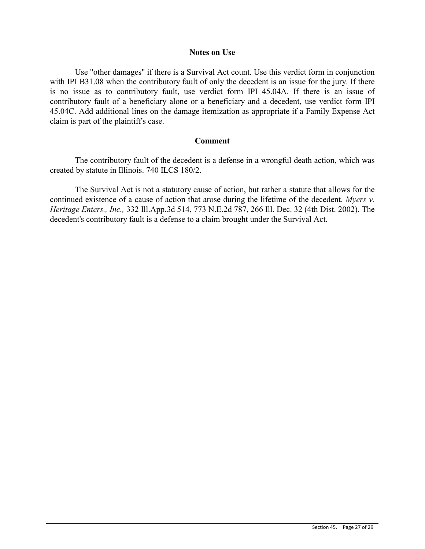#### **Notes on Use**

Use "other damages" if there is a Survival Act count. Use this verdict form in conjunction with IPI B31.08 when the contributory fault of only the decedent is an issue for the jury. If there is no issue as to contributory fault, use verdict form IPI 45.04A. If there is an issue of contributory fault of a beneficiary alone or a beneficiary and a decedent, use verdict form IPI 45.04C. Add additional lines on the damage itemization as appropriate if a Family Expense Act claim is part of the plaintiff's case.

#### **Comment**

The contributory fault of the decedent is a defense in a wrongful death action, which was created by statute in Illinois. 740 ILCS 180/2.

The Survival Act is not a statutory cause of action, but rather a statute that allows for the continued existence of a cause of action that arose during the lifetime of the decedent. *Myers v. Heritage Enters., Inc.,* 332 Ill.App.3d 514, 773 N.E.2d 787, 266 Ill. Dec. 32 (4th Dist. 2002). The decedent's contributory fault is a defense to a claim brought under the Survival Act.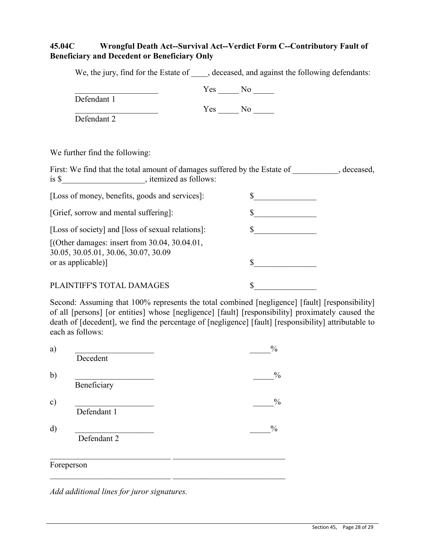# **45.04C Wrongful Death Act--Survival Act--Verdict Form C--Contributory Fault of Beneficiary and Decedent or Beneficiary Only**

We, the jury, find for the Estate of  $\qquad$ , deceased, and against the following defendants:

Defendant 1

 $Yes$  No

 $Yes$  No  $\qquad$ 

Defendant 2

We further find the following:

First: We find that the total amount of damages suffered by the Estate of \_\_\_\_\_\_\_\_\_, deceased, is \$  $\blacksquare$ [Loss of money, benefits, goods and services]: \$\_\_\_\_\_\_\_\_\_\_\_\_\_\_\_ [Grief, sorrow and mental suffering]: \$\_\_\_\_\_\_\_\_\_\_\_\_\_\_\_ [Loss of society] and [loss of sexual relations]:  $\qquad \qquad$  \$ [(Other damages: insert from 30.04, 30.04.01, 30.05, 30.05.01, 30.06, 30.07, 30.09 or as applicable)]  $\qquad$  \$ PLAINTIFF'S TOTAL DAMAGES  $\qquad \qquad$  \$

Second: Assuming that 100% represents the total combined [negligence] [fault] [responsibility] of all [persons] [or entities] whose [negligence] [fault] [responsibility] proximately caused the death of [decedent], we find the percentage of [negligence] [fault] [responsibility] attributable to each as follows:

|             | $\frac{0}{0}$ |
|-------------|---------------|
| Decedent    |               |
|             |               |
| Beneficiary |               |
|             |               |
| Defendant 1 |               |
|             | $\frac{0}{0}$ |
| Defendant 2 |               |
|             |               |
| Foreperson  |               |
|             |               |

*Add additional lines for juror signatures.*